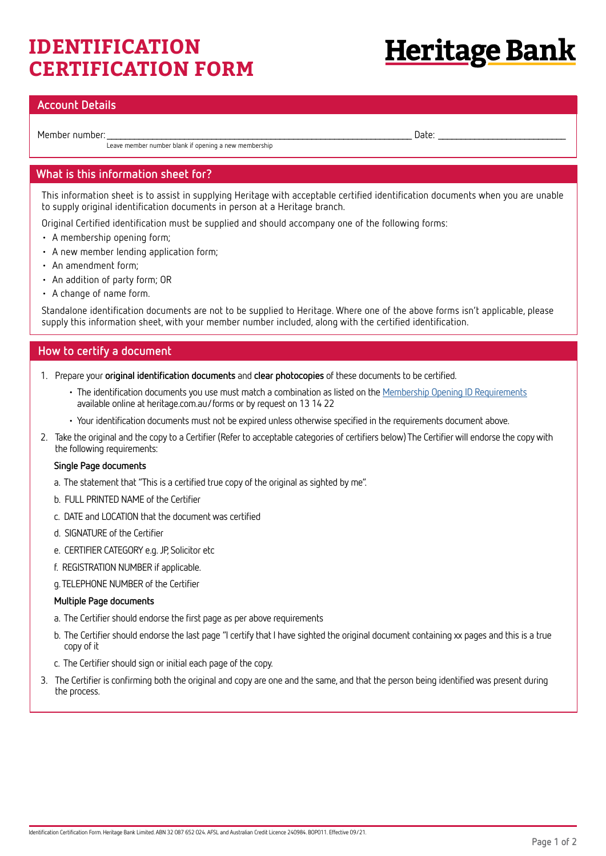# **IDENTIFICATION CERTIFICATION FORM**

# <u>Heritage Bank</u>

# **Account Details**

Member number: \_\_\_\_\_\_\_\_\_\_\_\_\_\_\_\_\_\_\_\_\_\_\_\_\_\_\_\_\_\_\_\_\_\_\_\_\_\_\_\_\_\_\_\_\_\_\_\_\_\_\_\_\_\_\_\_\_\_\_\_\_\_\_\_\_\_\_ Date: \_\_\_\_\_\_\_\_\_\_\_\_\_\_\_\_\_\_\_\_\_\_\_\_\_\_\_\_

Leave member number blank if opening a new membership

# **What is this information sheet for?**

This information sheet is to assist in supplying Heritage with acceptable certified identification documents when you are unable to supply original identification documents in person at a Heritage branch.

Original Certified identification must be supplied and should accompany one of the following forms:

- A membership opening form;
- A new member lending application form;
- An amendment form;
- An addition of party form; OR
- A change of name form.

Standalone identification documents are not to be supplied to Heritage. Where one of the above forms isn't applicable, please supply this information sheet, with your member number included, along with the certified identification.

## **How to certify a document**

- 1. Prepare your **original identification documents** and **clear photocopies** of these documents to be certified.
	- The identification documents you use must match a combination as listed on the [Membership Opening ID Requirements](https://www.heritage.com.au/inbound/forms/process/membership-ID-requirements) available online at heritage.com.au/forms or by request on 13 14 22
	- Your identification documents must not be expired unless otherwise specified in the requirements document above.
- 2. Take the original and the copy to a Certifier (Refer to acceptable categories of certifiers below) The Certifier will endorse the copy with the following requirements:

#### **Single Page documents**

- a. The statement that "This is a certified true copy of the original as sighted by me".
- b. FULL PRINTED NAME of the Certifier
- c. DATE and LOCATION that the document was certified
- d. SIGNATURE of the Certifier
- e. CERTIFIER CATEGORY e.g. JP, Solicitor etc
- f. REGISTRATION NUMBER if applicable.
- g. TELEPHONE NUMBER of the Certifier

#### **Multiple Page documents**

- a. The Certifier should endorse the first page as per above requirements
- b. The Certifier should endorse the last page "I certify that I have sighted the original document containing xx pages and this is a true copy of it
- c. The Certifier should sign or initial each page of the copy.
- 3. The Certifier is confirming both the original and copy are one and the same, and that the person being identified was present during the process.